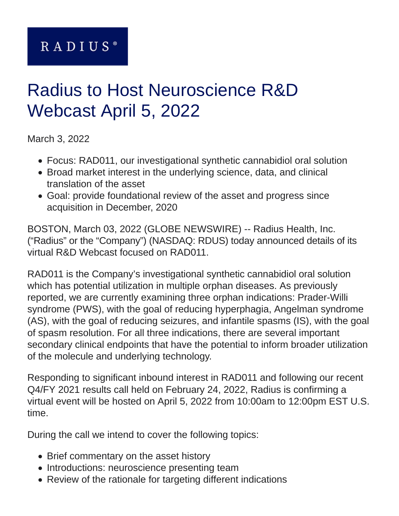# RADIUS<sup>®</sup>

# Radius to Host Neuroscience R&D Webcast April 5, 2022

March 3, 2022

- Focus: RAD011, our investigational synthetic cannabidiol oral solution
- Broad market interest in the underlying science, data, and clinical translation of the asset
- Goal: provide foundational review of the asset and progress since acquisition in December, 2020

BOSTON, March 03, 2022 (GLOBE NEWSWIRE) -- Radius Health, Inc. ("Radius" or the "Company") (NASDAQ: RDUS) today announced details of its virtual R&D Webcast focused on RAD011.

RAD011 is the Company's investigational synthetic cannabidiol oral solution which has potential utilization in multiple orphan diseases. As previously reported, we are currently examining three orphan indications: Prader-Willi syndrome (PWS), with the goal of reducing hyperphagia, Angelman syndrome (AS), with the goal of reducing seizures, and infantile spasms (IS), with the goal of spasm resolution. For all three indications, there are several important secondary clinical endpoints that have the potential to inform broader utilization of the molecule and underlying technology.

Responding to significant inbound interest in RAD011 and following our recent Q4/FY 2021 results call held on February 24, 2022, Radius is confirming a virtual event will be hosted on April 5, 2022 from 10:00am to 12:00pm EST U.S. time.

During the call we intend to cover the following topics:

- Brief commentary on the asset history
- Introductions: neuroscience presenting team
- Review of the rationale for targeting different indications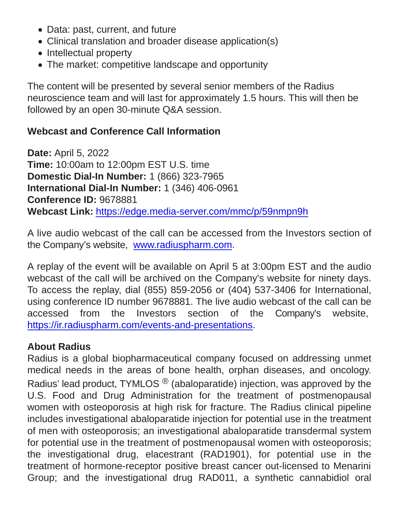- Data: past, current, and future
- Clinical translation and broader disease application(s)
- Intellectual property
- The market: competitive landscape and opportunity

The content will be presented by several senior members of the Radius neuroscience team and will last for approximately 1.5 hours. This will then be followed by an open 30-minute Q&A session.

## **Webcast and Conference Call Information**

**Date:** April 5, 2022 **Time:** 10:00am to 12:00pm EST U.S. time **Domestic Dial-In Number:** 1 (866) 323-7965 **International Dial-In Number:** 1 (346) 406-0961 **Conference ID:** 9678881 **Webcast Link:** [https://edge.media-server.com/mmc/p/59nmpn9h](https://www.globenewswire.com/Tracker?data=QdEeS3q-mfEIgaDPLXl08gxAfnZ49Am_RGJytbYl9KepXYUaSDCPJeLixB3MtdO8t-vOSsoWiMdWOgcEKH2DfNJRs_nEqCxAI9hQA4_hv-ETHIEyCB7Lj2wVTGfJpheBp1tCVPCUNtgTPmKIB0wY3A==)

A live audio webcast of the call can be accessed from the Investors section of the Company's website, [www.radiuspharm.com.](https://www.globenewswire.com/Tracker?data=5H9WMZiFN4cFc24S31mVSYhGu86UR6X0yAnLrYphMsvLjuOG7K8BAC5L0AI1TbF_qSdbx4LItD5T6BQm03ayD2AIXnfAmg1PU0LTS2hbrwA=)

A replay of the event will be available on April 5 at 3:00pm EST and the audio webcast of the call will be archived on the Company's website for ninety days. To access the replay, dial (855) 859-2056 or (404) 537-3406 for International, using conference ID number 9678881. The live audio webcast of the call can be accessed from the Investors section of the Company's website, [https://ir.radiuspharm.com/events-and-presentations.](https://www.globenewswire.com/Tracker?data=QdEeS3q-mfEIgaDPLXl08jEwgq8zs9WyslDcAcYouVOLqIks2pcipr81OYrBE77cwkNfzm6c9PvZGbC8Pjr8jbw2NRZljxFamH87k4zzLI0yE9IuNwj7tdjbdI88Duyeo2JzXOwiwKEDImkcxf4p2G0bGRcxaqph3T31D3AEVQ0=)

### **About Radius**

Radius is a global biopharmaceutical company focused on addressing unmet medical needs in the areas of bone health, orphan diseases, and oncology. Radius' lead product, TYMLOS  $^{\circledR}$  (abaloparatide) injection, was approved by the U.S. Food and Drug Administration for the treatment of postmenopausal women with osteoporosis at high risk for fracture. The Radius clinical pipeline includes investigational abaloparatide injection for potential use in the treatment of men with osteoporosis; an investigational abaloparatide transdermal system for potential use in the treatment of postmenopausal women with osteoporosis; the investigational drug, elacestrant (RAD1901), for potential use in the treatment of hormone-receptor positive breast cancer out-licensed to Menarini Group; and the investigational drug RAD011, a synthetic cannabidiol oral